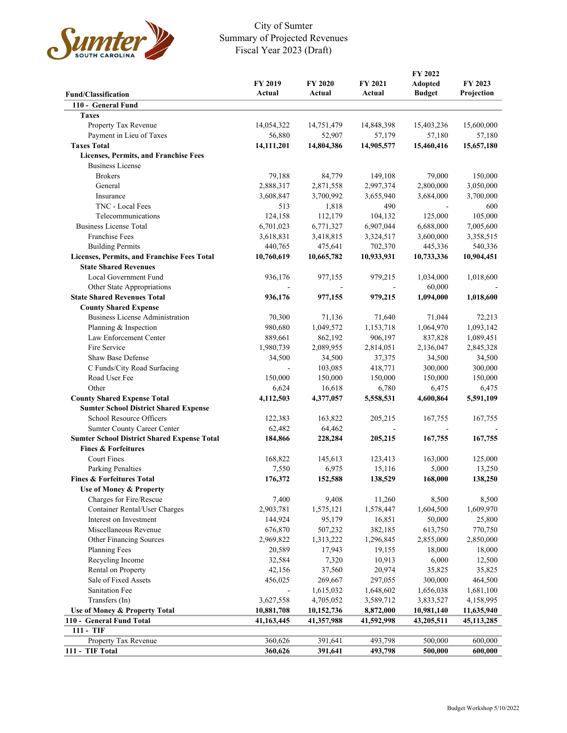

## City of Sumter Summary of Projected Revenues Fiscal Year 2023 (Draft)

| <b>Fund/Classification</b>                         | FY 2019<br>Actual | FY 2020<br>Actual | FY 2021<br>Actual | FY 2022<br><b>Adopted</b><br><b>Budget</b> | FY 2023<br>Projection |
|----------------------------------------------------|-------------------|-------------------|-------------------|--------------------------------------------|-----------------------|
| 110 - General Fund                                 |                   |                   |                   |                                            |                       |
| <b>Taxes</b>                                       |                   |                   |                   |                                            |                       |
| Property Tax Revenue                               | 14,054,322        | 14,751,479        | 14,848,398        | 15,403,236                                 | 15,600,000            |
| Payment in Lieu of Taxes                           | 56,880            | 52,907            | 57,179            | 57,180                                     | 57,180                |
| <b>Taxes Total</b>                                 | 14,111,201        | 14,804,386        | 14,905,577        | 15,460,416                                 | 15,657,180            |
| <b>Licenses, Permits, and Franchise Fees</b>       |                   |                   |                   |                                            |                       |
| <b>Business License</b>                            |                   |                   |                   |                                            |                       |
| <b>Brokers</b>                                     | 79,188            | 84,779            | 149,108           | 79,000                                     | 150,000               |
| General                                            | 2,888,317         | 2,871,558         | 2,997,374         | 2,800,000                                  | 3,050,000             |
| Insurance                                          | 3,608,847         | 3,700,992         | 3,655,940         | 3,684,000                                  | 3,700,000             |
| TNC - Local Fees                                   | 513               | 1,818             | 490               |                                            | 600                   |
| Telecommunications                                 | 124,158           | 112,179           | 104,132           | 125,000                                    | 105,000               |
| <b>Business License Total</b>                      | 6,701,023         | 6,771,327         | 6,907,044         | 6,688,000                                  | 7,005,600             |
| <b>Franchise Fees</b>                              | 3,618,831         | 3,418,815         | 3,324,517         | 3,600,000                                  | 3,358,515             |
| <b>Building Permits</b>                            | 440,765           | 475,641           | 702,370           | 445,336                                    | 540,336               |
| Licenses, Permits, and Franchise Fees Total        | 10,760,619        | 10,665,782        | 10,933,931        | 10,733,336                                 | 10,904,451            |
| <b>State Shared Revenues</b>                       |                   |                   |                   |                                            |                       |
| Local Government Fund                              | 936,176           | 977,155           | 979,215           | 1,034,000                                  | 1,018,600             |
| Other State Appropriations                         |                   |                   |                   | 60,000                                     |                       |
| <b>State Shared Revenues Total</b>                 | 936,176           | 977,155           | 979,215           | 1,094,000                                  | 1,018,600             |
| <b>County Shared Expense</b>                       |                   |                   |                   |                                            |                       |
| <b>Business License Administration</b>             | 70,300            | 71,136            | 71,640            | 71,044                                     | 72,213                |
| Planning & Inspection                              | 980,680           | 1,049,572         | 1,153,718         | 1,064,970                                  | 1,093,142             |
| Law Enforcement Center                             | 889,661           | 862,192           | 906,197           | 837,828                                    | 1,089,451             |
| Fire Service                                       | 1,980,739         | 2,089,955         | 2,814,051         | 2,136,047                                  | 2,845,328             |
| Shaw Base Defense                                  | 34,500            | 34,500            | 37,375            | 34,500                                     | 34,500                |
| C Funds/City Road Surfacing                        |                   | 103,085           | 418,771           | 300,000                                    | 300,000               |
| Road User Fee                                      | 150,000           | 150,000           | 150,000           | 150,000                                    | 150,000               |
| Other                                              | 6,624             | 16,618            | 6,780             | 6,475                                      | 6,475                 |
| <b>County Shared Expense Total</b>                 | 4,112,503         | 4,377,057         | 5,558,531         | 4,600,864                                  | 5,591,109             |
| <b>Sumter School District Shared Expense</b>       |                   |                   |                   |                                            |                       |
| School Resource Officers                           | 122,383           | 163,822           | 205,215           | 167,755                                    | 167,755               |
| Sumter County Career Center                        | 62,482            | 64,462            |                   |                                            |                       |
| <b>Sumter School District Shared Expense Total</b> | 184,866           | 228,284           | 205,215           | 167,755                                    | 167,755               |
| <b>Fines &amp; Forfeitures</b>                     |                   |                   |                   |                                            |                       |
| <b>Court Fines</b>                                 | 168,822           | 145,613           | 123,413           | 163,000                                    | 125,000               |
| <b>Parking Penalties</b>                           | 7,550             | 6,975             | 15,116            | 5,000                                      | 13,250                |
| <b>Fines &amp; Forfeitures Total</b>               | 176,372           | 152,588           | 138,529           | 168,000                                    | 138,250               |
| Use of Money & Property                            |                   |                   |                   |                                            |                       |
| Charges for Fire/Rescue                            | 7,400             | 9,408             | 11,260            | 8,500                                      | 8,500                 |
| Container Rental/User Charges                      | 2,903,781         | 1,575,121         | 1,578,447         | 1,604,500                                  | 1,609,970             |
| Interest on Investment                             | 144,924           | 95,179            | 16,851            | 50,000                                     | 25,800                |
| Miscellaneous Revenue                              | 676,870           | 507,232           | 382,185           | 613,750                                    | 770,750               |
| Other Financing Sources                            | 2,969,822         | 1,313,222         | 1,296,845         | 2,855,000                                  | 2,850,000             |
| <b>Planning Fees</b>                               | 20,589            | 17,943            | 19,155            | 18,000                                     | 18,000                |
| Recycling Income                                   | 32,584            | 7,320             | 10,913            | 6,000                                      | 12,500                |
| Rental on Property                                 | 42,156            | 37,560            | 20,974            | 35,825                                     | 35,825                |
| Sale of Fixed Assets                               | 456,025           | 269,667           | 297,055           | 300,000                                    | 464,500               |
| <b>Sanitation Fee</b>                              |                   | 1,615,032         | 1,648,602         | 1,656,038                                  | 1,681,100             |
| Transfers (In)                                     | 3,627,558         | 4,705,052         | 3,589,712         | 3,833,527                                  | 4,158,995             |
| Use of Money & Property Total                      | 10,881,708        | 10,152,736        | 8,872,000         | 10,981,140                                 | 11,635,940            |
| 110 - General Fund Total                           | 41,163,445        | 41,357,988        | 41,592,998        | 43,205,511                                 | 45, 113, 285          |
| 111 - TIF                                          |                   |                   |                   |                                            |                       |
| Property Tax Revenue                               | 360,626           | 391,641           | 493,798           | 500,000                                    | 600,000               |
| 111 - TIF Total                                    | 360,626           | 391,641           | 493,798           | 500,000                                    | 600,000               |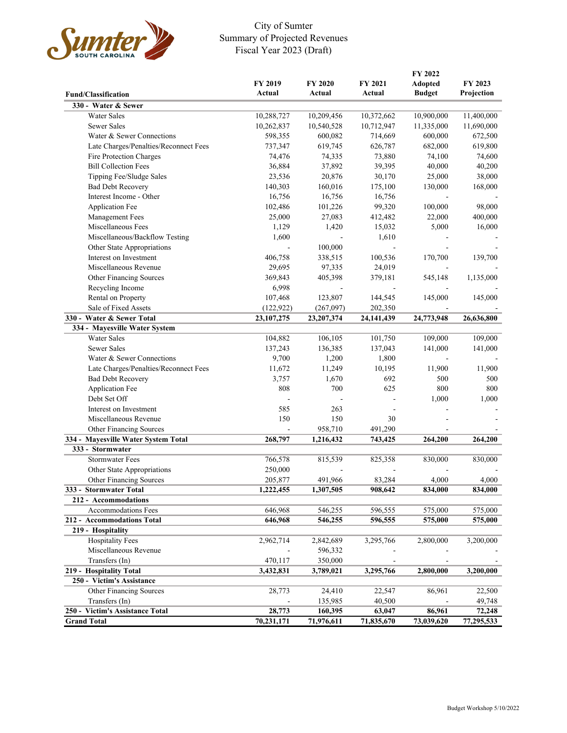

## City of Sumter Summary of Projected Revenues Fiscal Year 2023 (Draft)

|                                                         |                          |                         | FY 2022            |                |            |
|---------------------------------------------------------|--------------------------|-------------------------|--------------------|----------------|------------|
|                                                         | FY 2019                  | <b>FY 2020</b>          | FY 2021            | <b>Adopted</b> | FY 2023    |
| <b>Fund/Classification</b>                              | Actual                   | Actual                  | Actual             | <b>Budget</b>  | Projection |
| 330 - Water & Sewer                                     |                          |                         |                    |                |            |
| Water Sales                                             | 10,288,727               | 10,209,456              | 10,372,662         | 10,900,000     | 11,400,000 |
| Sewer Sales                                             | 10,262,837               | 10,540,528              | 10,712,947         | 11,335,000     | 11,690,000 |
| Water & Sewer Connections                               | 598,355                  | 600,082                 | 714,669            | 600,000        | 672,500    |
| Late Charges/Penalties/Reconnect Fees                   | 737,347                  | 619,745                 | 626,787            | 682,000        | 619,800    |
| Fire Protection Charges                                 | 74,476                   | 74,335                  | 73,880             | 74,100         | 74,600     |
| <b>Bill Collection Fees</b>                             | 36,884                   | 37,892                  | 39,395             | 40,000         | 40,200     |
| Tipping Fee/Sludge Sales                                | 23,536                   | 20,876                  | 30,170             | 25,000         | 38,000     |
| <b>Bad Debt Recovery</b>                                | 140,303                  | 160,016                 | 175,100            | 130,000        | 168,000    |
| Interest Income - Other                                 | 16,756                   | 16,756                  | 16,756             |                |            |
| <b>Application Fee</b>                                  | 102,486                  | 101,226                 | 99,320             | 100,000        | 98,000     |
| Management Fees                                         | 25,000                   | 27,083                  | 412,482            | 22,000         | 400,000    |
| Miscellaneous Fees                                      | 1,129                    | 1,420                   | 15,032             | 5,000          | 16,000     |
| Miscellaneous/Backflow Testing                          | 1,600                    |                         | 1,610              |                |            |
| Other State Appropriations                              |                          | 100,000                 |                    |                |            |
| Interest on Investment                                  | 406,758                  | 338,515                 | 100,536            | 170,700        | 139,700    |
| Miscellaneous Revenue                                   | 29,695                   | 97,335                  | 24,019             |                |            |
| Other Financing Sources                                 | 369,843                  | 405,398                 | 379,181            | 545,148        | 1,135,000  |
| Recycling Income                                        | 6,998                    |                         |                    |                |            |
| Rental on Property                                      | 107,468                  |                         |                    | 145,000        |            |
| Sale of Fixed Assets                                    |                          | 123,807                 | 144,545<br>202,350 |                | 145,000    |
| 330 - Water & Sewer Total                               | (122, 922)<br>23,107,275 | (267,097)<br>23,207,374 |                    | 24,773,948     | 26,636,800 |
|                                                         |                          |                         | 24,141,439         |                |            |
| 334 - Mayesville Water System<br><b>Water Sales</b>     | 104,882                  | 106, 105                | 101,750            | 109,000        | 109,000    |
| Sewer Sales                                             | 137,243                  | 136,385                 | 137,043            | 141,000        | 141,000    |
| Water & Sewer Connections                               | 9,700                    | 1,200                   | 1,800              |                |            |
| Late Charges/Penalties/Reconnect Fees                   | 11,672                   | 11,249                  | 10,195             | 11,900         | 11,900     |
|                                                         |                          |                         |                    |                |            |
| <b>Bad Debt Recovery</b>                                | 3,757                    | 1,670<br>700            | 692<br>625         | 500<br>800     | 500<br>800 |
| <b>Application Fee</b><br>Debt Set Off                  | 808                      |                         |                    |                |            |
|                                                         |                          |                         |                    | 1,000          | 1,000      |
| Interest on Investment                                  | 585                      | 263                     |                    |                |            |
| Miscellaneous Revenue                                   | 150                      | 150<br>958,710          | 30                 |                |            |
| Other Financing Sources                                 |                          |                         | 491,290            |                |            |
| 334 - Mayesville Water System Total<br>333 - Stormwater | 268,797                  | 1,216,432               | 743,425            | 264,200        | 264,200    |
|                                                         |                          |                         |                    |                |            |
| <b>Stormwater Fees</b>                                  | 766,578                  | 815,539                 | 825,358            | 830,000        | 830,000    |
| Other State Appropriations                              | 250,000                  |                         |                    |                |            |
| Other Financing Sources                                 | 205,877                  | 491,966                 | 83,284             | 4,000          | 4,000      |
| 333 - Stormwater Total                                  | 1,222,455                | 1,307,505               | 908,642            | 834,000        | 834,000    |
| 212 - Accommodations                                    |                          |                         |                    |                |            |
| <b>Accommodations Fees</b>                              | 646,968                  | 546,255                 | 596,555            | 575,000        | 575,000    |
| 212 - Accommodations Total                              | 646,968                  | 546,255                 | 596,555            | 575,000        | 575,000    |
| 219 - Hospitality                                       |                          |                         |                    |                |            |
| Hospitality Fees                                        | 2,962,714                | 2,842,689               | 3,295,766          | 2,800,000      | 3,200,000  |
| Miscellaneous Revenue                                   |                          | 596,332                 |                    |                |            |
| Transfers (In)                                          | 470,117                  | 350,000                 |                    |                |            |
| 219 - Hospitality Total                                 | 3,432,831                | 3,789,021               | 3,295,766          | 2,800,000      | 3,200,000  |
| 250 - Victim's Assistance                               |                          |                         |                    |                |            |
| Other Financing Sources                                 | 28,773                   | 24,410                  | 22,547             | 86,961         | 22,500     |
| Transfers (In)                                          |                          | 135,985                 | 40,500             |                | 49,748     |
| 250 - Victim's Assistance Total                         | 28,773                   | 160,395                 | 63,047             | 86,961         | 72,248     |
| <b>Grand Total</b>                                      | 70,231,171               | 71,976,611              | 71,835,670         | 73,039,620     | 77,295,533 |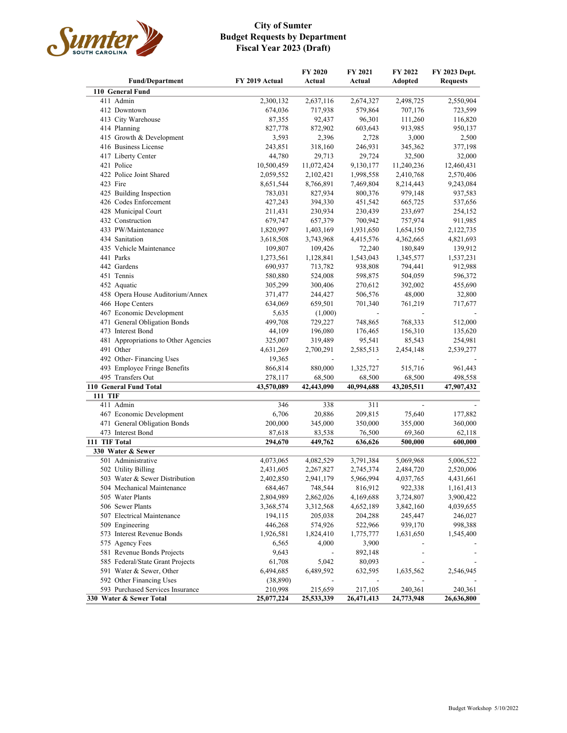

## **City of Sumter Budget Requests by Department Fiscal Year 2023 (Draft)**

|                                      |                | FY 2020                  | FY 2021                  | FY 2022    | FY 2023 Dept.   |
|--------------------------------------|----------------|--------------------------|--------------------------|------------|-----------------|
| <b>Fund/Department</b>               | FY 2019 Actual | Actual                   | Actual                   | Adopted    | <b>Requests</b> |
| 110 General Fund                     |                |                          |                          |            |                 |
| 411 Admin                            | 2,300,132      | 2,637,116                | 2,674,327                | 2,498,725  | 2,550,904       |
| 412 Downtown                         | 674,036        | 717,938                  | 579,864                  | 707,176    | 723,599         |
| 413 City Warehouse                   | 87,355         | 92,437                   | 96,301                   | 111,260    | 116,820         |
| 414 Planning                         | 827,778        | 872,902                  | 603,643                  | 913,985    | 950,137         |
| 415 Growth & Development             | 3,593          | 2,396                    | 2,728                    | 3,000      | 2,500           |
| 416 Business License                 | 243,851        | 318,160                  | 246,931                  | 345,362    | 377,198         |
| 417 Liberty Center                   | 44,780         | 29,713                   | 29,724                   | 32,500     | 32,000          |
| 421 Police                           | 10,500,459     | 11,072,424               | 9,130,177                | 11,240,236 | 12,460,431      |
| 422 Police Joint Shared              | 2,059,552      | 2,102,421                | 1,998,558                | 2,410,768  | 2,570,406       |
| 423 Fire                             | 8,651,544      | 8,766,891                | 7,469,804                | 8,214,443  | 9,243,084       |
| 425 Building Inspection              | 783,031        | 827,934                  | 800,376                  | 979,148    | 937,583         |
| 426 Codes Enforcement                | 427,243        | 394,330                  | 451,542                  | 665,725    | 537,656         |
| 428 Municipal Court                  | 211,431        | 230,934                  | 230,439                  | 233,697    | 254,152         |
| 432 Construction                     | 679,747        | 657,379                  | 700,942                  | 757,974    | 911,985         |
| 433 PW/Maintenance                   | 1,820,997      | 1,403,169                | 1,931,650                | 1,654,150  | 2,122,735       |
| 434 Sanitation                       | 3,618,508      | 3,743,968                | 4,415,576                | 4,362,665  | 4,821,693       |
| 435 Vehicle Maintenance              | 109,807        | 109,426                  | 72,240                   | 180,849    | 139,912         |
| 441 Parks                            | 1,273,561      | 1,128,841                | 1,543,043                | 1,345,577  | 1,537,231       |
| 442 Gardens                          | 690,937        | 713,782                  | 938,808                  | 794,441    | 912,988         |
| 451 Tennis                           | 580,880        | 524,008                  | 598,875                  | 504,059    | 596,372         |
| 452 Aquatic                          | 305,299        | 300,406                  | 270,612                  | 392,002    | 455,690         |
| 458 Opera House Auditorium/Annex     | 371,477        | 244,427                  | 506,576                  | 48,000     | 32,800          |
| 466 Hope Centers                     | 634,069        | 659,501                  | 701,340                  | 761,219    | 717,677         |
| 467 Economic Development             | 5,635          | (1,000)                  | $\overline{\phantom{a}}$ |            |                 |
| 471 General Obligation Bonds         | 499,708        | 729,227                  | 748,865                  | 768,333    | 512,000         |
| 473 Interest Bond                    | 44,109         | 196,080                  | 176,465                  | 156,310    | 135,620         |
| 481 Appropriations to Other Agencies | 325,007        | 319,489                  | 95,541                   | 85,543     | 254,981         |
| 491 Other                            | 4,631,269      | 2,700,291                | 2,585,513                | 2,454,148  | 2,539,277       |
| 492 Other-Financing Uses             | 19,365         | $\overline{\phantom{a}}$ | $\overline{\phantom{a}}$ |            |                 |
| 493 Employee Fringe Benefits         | 866,814        | 880,000                  | 1,325,727                | 515,716    | 961,443         |
| 495 Transfers Out                    | 278,117        | 68,500                   | 68,500                   | 68,500     | 498,558         |
| 110 General Fund Total               | 43,570,089     | 42,443,090               | 40,994,688               | 43,205,511 | 47,907,432      |
| <b>111 TIF</b>                       |                |                          |                          |            |                 |
| 411 Admin                            | 346            | 338                      | 311                      |            |                 |
| 467 Economic Development             | 6,706          | 20,886                   | 209,815                  | 75,640     | 177,882         |
| 471 General Obligation Bonds         | 200,000        | 345,000                  | 350,000                  | 355,000    | 360,000         |
| 473 Interest Bond                    | 87,618         | 83,538                   | 76,500                   | 69,360     | 62,118          |
| 111 TIF Total                        | 294,670        | 449,762                  | 636,626                  | 500,000    | 600,000         |
| 330 Water & Sewer                    |                |                          |                          |            |                 |
| 501 Administrative                   | 4,073,065      | 4,082,529                | 3,791,384                | 5,069,968  | 5,006,522       |
| 502 Utility Billing                  | 2,431,605      | 2,267,827                | 2,745,374                | 2,484,720  | 2,520,006       |
| 503 Water & Sewer Distribution       | 2,402,850      | 2,941,179                | 5,966,994                | 4,037,765  | 4,431,661       |
| 504 Mechanical Maintenance           | 684,467        | 748,544                  | 816,912                  | 922,338    | 1,161,413       |
| 505 Water Plants                     | 2,804,989      | 2,862,026                | 4,169,688                | 3,724,807  | 3,900,422       |
| 506 Sewer Plants                     | 3,368,574      | 3,312,568                | 4,652,189                | 3,842,160  | 4,039,655       |
| 507 Electrical Maintenance           | 194,115        | 205,038                  | 204,288                  | 245,447    | 246,027         |
| 509 Engineering                      | 446,268        | 574,926                  | 522,966                  | 939,170    | 998,388         |
| 573 Interest Revenue Bonds           | 1,926,581      | 1,824,410                | 1,775,777                | 1,631,650  | 1,545,400       |
| 575 Agency Fees                      | 6,565          | 4,000                    | 3,900                    |            |                 |
| 581 Revenue Bonds Projects           | 9,643          |                          | 892,148                  |            |                 |
| 585 Federal/State Grant Projects     | 61,708         | 5,042                    | 80,093                   |            |                 |
| 591 Water & Sewer, Other             | 6,494,685      | 6,489,592                | 632,595                  | 1,635,562  | 2,546,945       |
| 592 Other Financing Uses             | (38, 890)      |                          |                          |            |                 |
| 593 Purchased Services Insurance     | 210,998        | 215,659                  | 217,105                  | 240,361    | 240,361         |
| 330 Water & Sewer Total              | 25,077,224     | 25,533,339               | 26,471,413               | 24,773,948 | 26,636,800      |